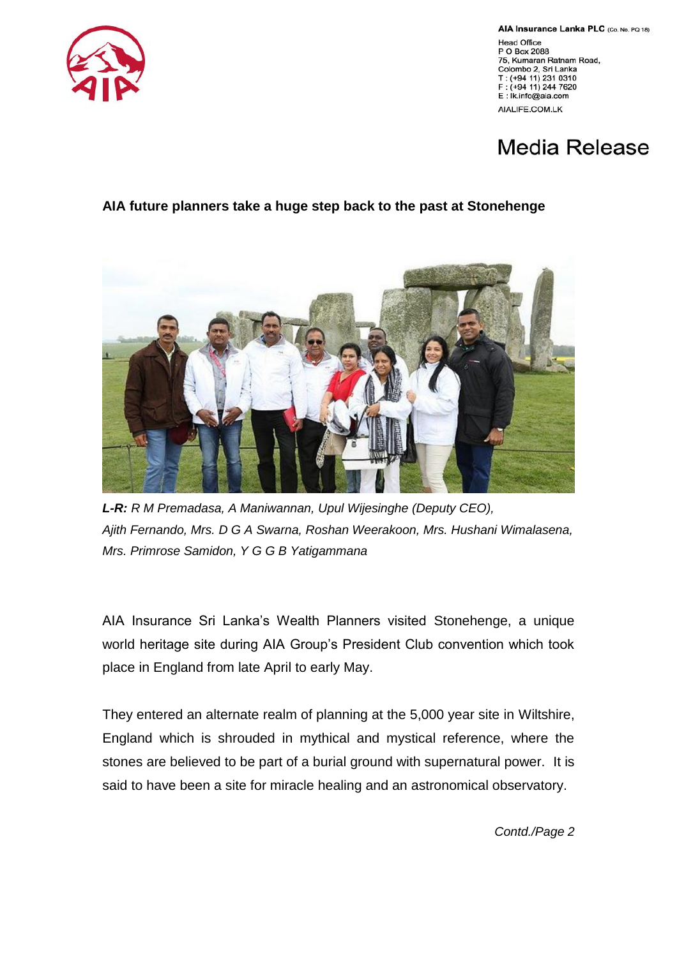

AIA Insurance Lanka PLC (Co. No. PQ 18) **Head Office** P O Box 2088 75, Kumaran Ratnam Road, Colombo 2, Sri Lanka T: (+94 11) 231 0310  $:(+94 11)$  244 7620 E: Ik.info@aia.com AIALIFE.COM.LK

## Media Release

## **AIA future planners take a huge step back to the past at Stonehenge**



*L-R: R M Premadasa, A Maniwannan, Upul Wijesinghe (Deputy CEO), Ajith Fernando, Mrs. D G A Swarna, Roshan Weerakoon, Mrs. Hushani Wimalasena, Mrs. Primrose Samidon, Y G G B Yatigammana*

AIA Insurance Sri Lanka's Wealth Planners visited Stonehenge, a unique world heritage site during AIA Group's President Club convention which took place in England from late April to early May.

They entered an alternate realm of planning at the 5,000 year site in Wiltshire, England which is shrouded in mythical and mystical reference, where the stones are believed to be part of a burial ground with supernatural power. It is said to have been a site for miracle healing and an astronomical observatory.

*Contd./Page 2*